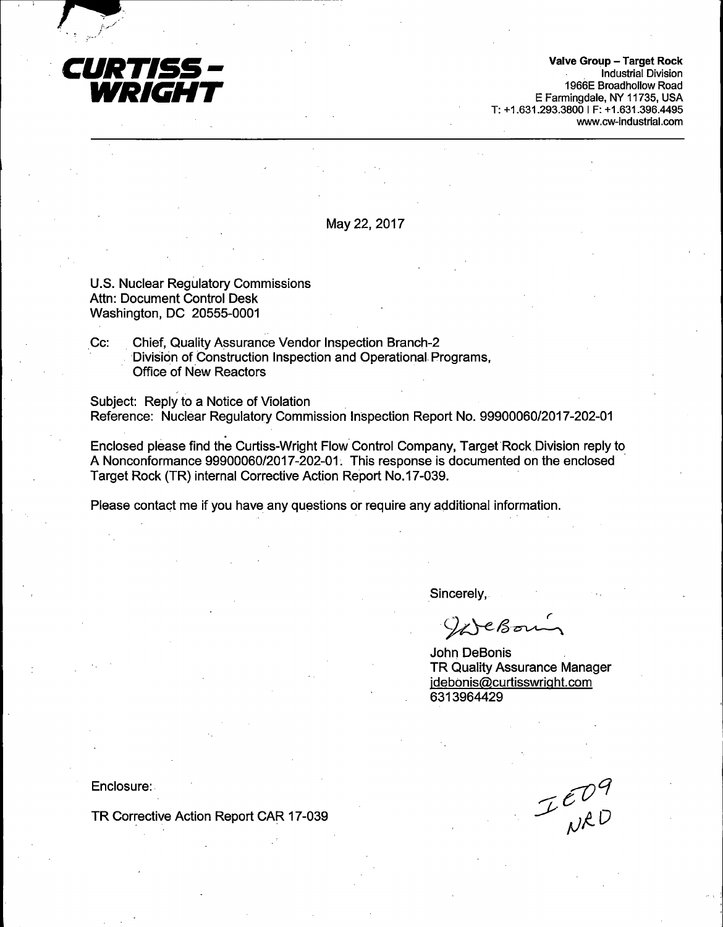

 $\mathbf{r} = \mathbf{r}$ 

Valve Group - Target Rock Industrial Division 1966E Broadhollow Road E Farmingdale, NY 11735, USA T: +1.631.293.3800 I F: +1.631.396.4495 www.cw-industrial.com

May 22, 2017

U.S. Nuclear Regulatory Commissions Attn: Document Control Desk Washington, DC 20555-0001

..-------------------------

Cc: Chief, Quality Assurance Vendor Inspection Branch-2 Division of Construction Inspection and Operational- Programs, Office of New Reactors

Subject: Reply to a Notice of Violation Reference: Nuclear Regulatory Commission Inspection Report No. 99900060/2017-202-01

Enclosed please find the Curtiss-Wright Flow Control Company, Target Rock Division reply to A Nonconformance 99900060/2017-202-01. This response is documented on the enclosed Target Rock (TR) internal Corrective Action Report No.17-039.

Please contact me if you have any questions or require any additional information.

Sincerely,

WeBoun

John DeBonis TR Quality Assurance Manager jdebonis@curtisswriqht.com 6313964429

Enclosure: -

TR Corrective Action Report CAR 17-039

 $I_{\text{WAD}}^{\text{CO}}$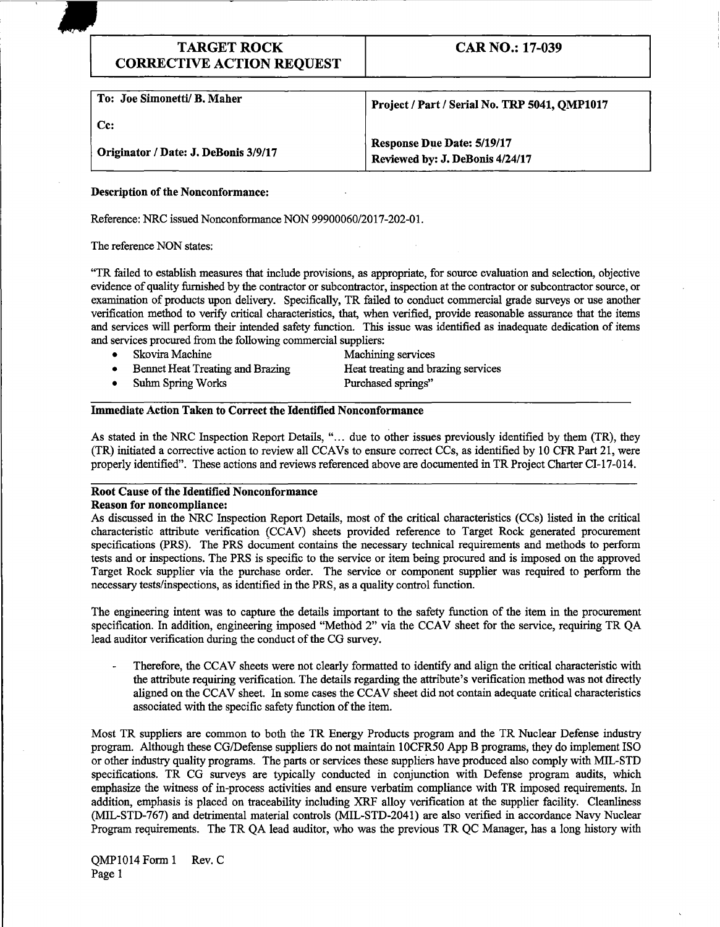# TARGET ROCK CORRECTIVE ACTION REQUEST

CAR NO.: 17-039

| To: Joe Simonetti/ B. Maher          | Project / Part / Serial No. TRP 5041, OMP1017                        |
|--------------------------------------|----------------------------------------------------------------------|
| Cc:                                  |                                                                      |
| Originator / Date: J. DeBonis 3/9/17 | <b>Response Due Date: 5/19/17</b><br>Reviewed by: J. DeBonis 4/24/17 |

### Description of the Nonconformance:

Reference: NRC issued Nonconformance NON 99900060/2017-202-01.

The reference NON states:

"TR failed to establish measures that include provisions, as appropriate, for source evaluation and selection, objective evidence of quality furnished by the contractor or subcontractor, inspection at the contractor or subcontractor source, or examination of products upon delivery. Specifically, TR failed to conduct commercial grade surveys or use another verification method to verify critical characteristics, that, when verified, provide reasonable assurance that the items and services will perform their intended safety function. This issue was identified as inadequate dedication of items and services procured from the following commercial suppliers:

- Skovira Machine Machining services • Bennet Heat Treating and Brazing Heat treating and brazing services • Suhm Spring Works Purchased springs"
- 

## Immediate Action Taken to Correct the Identified Nonconformance

As stated in the NRC Inspection Report Details, "... due to other issues previously identified by them (TR), they (TR) initiated a corrective action to review all CCA Vs to ensure correct CCs, as identified by 10 CFR Part 21, were properly identified". These actions and reviews referenced above are documented in TR Project Charter CI-17-014.

#### Root Cause of the Identified Nonconformance Reason for noncompliance:

As discussed in the NRC Inspection Report Details, most of the critical characteristics (CCs) listed in the critical characteristic attribute verification (CCAV) sheets provided reference to Target Rock generated procurement specifications (PRS). The PRS document contains the necessary technical requirements and methods to perform tests and or inspections. The PRS is specific to the service or item being procured and is imposed on the approved Target Rock supplier via the purchase order. The service or component supplier was required to perform the necessary tests/inspections, as identified in the PRS, as a quality control function.

The engineering intent was to capture the details important to the safety function of the item in the procurement specification. In addition, engineering imposed "Method 2" via the CCAV sheet for the service, requiring TR QA lead auditor verification during the conduct of the CG survey.

Therefore, the CCAV sheets were not clearly formatted to identify and align the critical characteristic with the attribute requiring verification. The details regarding the attribute's verification method was not directly aligned on the CCAV sheet. In some cases the CCAV sheet did not contain adequate critical characteristics associated with the specific safety function of the item.

Most TR suppliers are common to both the TR Energy Products program and the TR Nuclear Defense industry program. Although these CG/Defense suppliers do not maintain 1 OCFR50 App B programs, they do implement ISO or other industry quality programs. The parts or services these suppliers have produced also comply with MIL-STD specifications. TR CG surveys are typically conducted in conjunction with Defense program audits, which emphasize the witness of in-process activities and ensure verbatim compliance with TR imposed requirements. In addition, emphasis is placed on traceability including XRF alloy verification at the supplier facility. Cleanliness (MIL-STD-767) and detrimental material controls (MIL-STD-2041) are also verified in accordance Navy Nuclear Program requirements. The TR QA lead auditor, who was the previous TR QC Manager, has a long history with